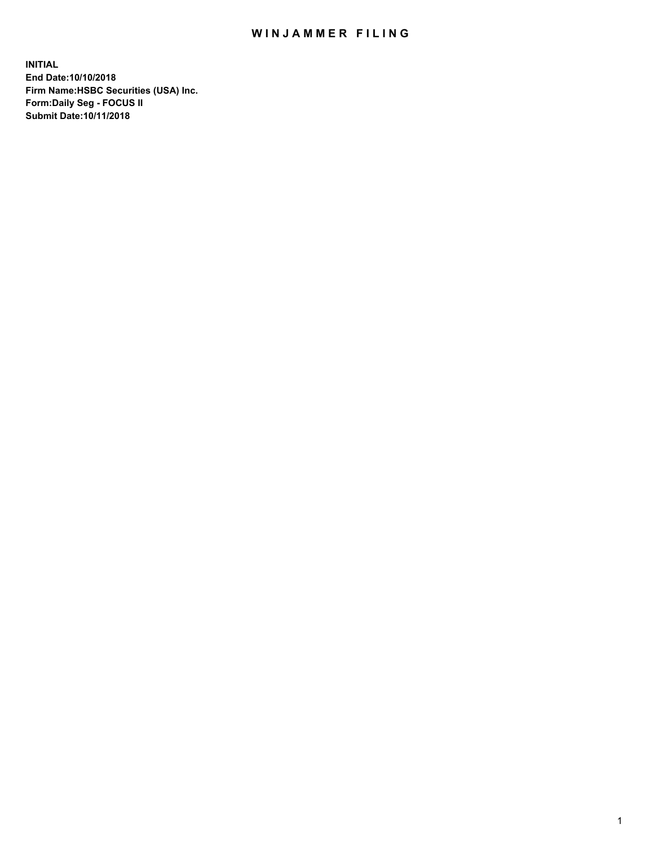## WIN JAMMER FILING

**INITIAL End Date:10/10/2018 Firm Name:HSBC Securities (USA) Inc. Form:Daily Seg - FOCUS II Submit Date:10/11/2018**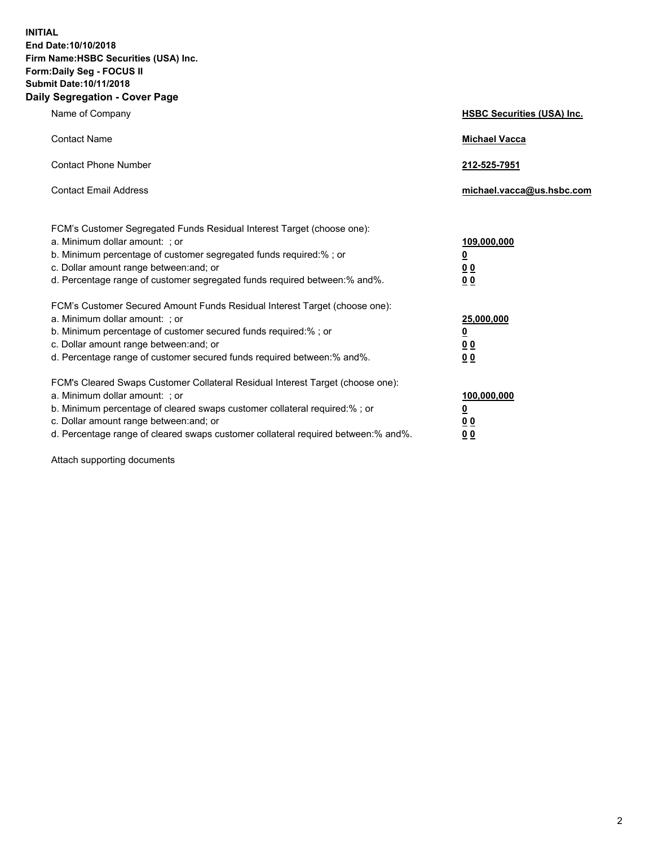**INITIAL End Date:10/10/2018 Firm Name:HSBC Securities (USA) Inc. Form:Daily Seg - FOCUS II Submit Date:10/11/2018 Daily Segregation - Cover Page**

| Name of Company                                                                                                                                                                                                                                                                                                                | <b>HSBC Securities (USA) Inc.</b>                                          |
|--------------------------------------------------------------------------------------------------------------------------------------------------------------------------------------------------------------------------------------------------------------------------------------------------------------------------------|----------------------------------------------------------------------------|
| <b>Contact Name</b>                                                                                                                                                                                                                                                                                                            | <b>Michael Vacca</b>                                                       |
| <b>Contact Phone Number</b>                                                                                                                                                                                                                                                                                                    | 212-525-7951                                                               |
| <b>Contact Email Address</b>                                                                                                                                                                                                                                                                                                   | michael.vacca@us.hsbc.com                                                  |
| FCM's Customer Segregated Funds Residual Interest Target (choose one):<br>a. Minimum dollar amount: : or<br>b. Minimum percentage of customer segregated funds required:% ; or<br>c. Dollar amount range between: and; or<br>d. Percentage range of customer segregated funds required between:% and%.                         | 109,000,000<br>$\overline{\mathbf{0}}$<br>0 <sub>0</sub><br>0 <sub>0</sub> |
| FCM's Customer Secured Amount Funds Residual Interest Target (choose one):<br>a. Minimum dollar amount: ; or<br>b. Minimum percentage of customer secured funds required:%; or<br>c. Dollar amount range between: and; or<br>d. Percentage range of customer secured funds required between:% and%.                            | 25,000,000<br><u>0</u><br>0 <sub>0</sub><br>00                             |
| FCM's Cleared Swaps Customer Collateral Residual Interest Target (choose one):<br>a. Minimum dollar amount: ; or<br>b. Minimum percentage of cleared swaps customer collateral required:% ; or<br>c. Dollar amount range between: and; or<br>d. Percentage range of cleared swaps customer collateral required between:% and%. | 100,000,000<br><u>0</u><br>00<br>0 <sub>0</sub>                            |

Attach supporting documents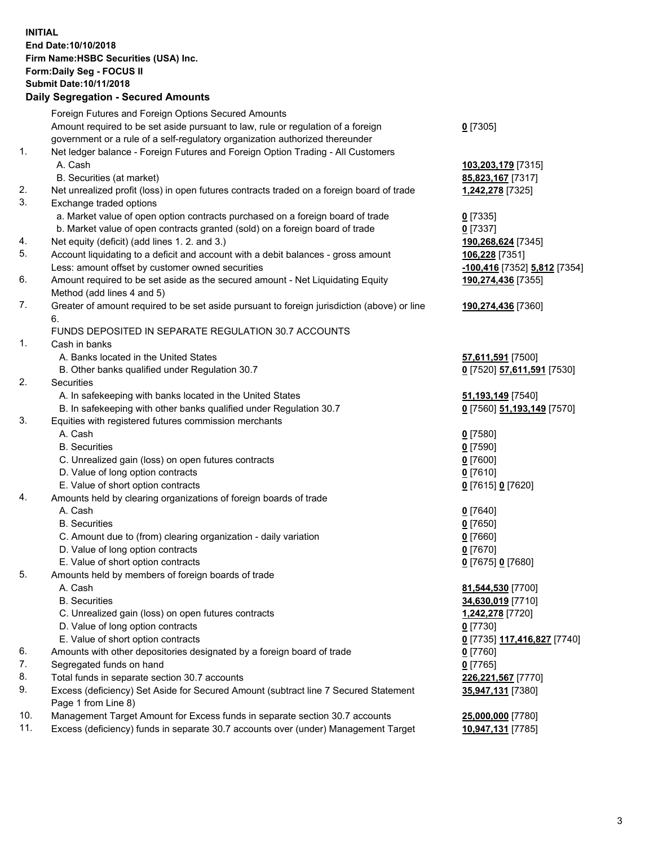**INITIAL End Date:10/10/2018 Firm Name:HSBC Securities (USA) Inc. Form:Daily Seg - FOCUS II Submit Date:10/11/2018**

## **Daily Segregation - Secured Amounts**

|     | Foreign Futures and Foreign Options Secured Amounts                                         |                              |
|-----|---------------------------------------------------------------------------------------------|------------------------------|
|     | Amount required to be set aside pursuant to law, rule or regulation of a foreign            | $0$ [7305]                   |
|     | government or a rule of a self-regulatory organization authorized thereunder                |                              |
| 1.  | Net ledger balance - Foreign Futures and Foreign Option Trading - All Customers             |                              |
|     | A. Cash                                                                                     | 103,203,179 [7315]           |
|     | B. Securities (at market)                                                                   | 85,823,167 [7317]            |
| 2.  | Net unrealized profit (loss) in open futures contracts traded on a foreign board of trade   | 1,242,278 [7325]             |
| 3.  | Exchange traded options                                                                     |                              |
|     | a. Market value of open option contracts purchased on a foreign board of trade              | $0$ [7335]                   |
|     | b. Market value of open contracts granted (sold) on a foreign board of trade                | $0$ [7337]                   |
| 4.  | Net equity (deficit) (add lines 1. 2. and 3.)                                               | 190,268,624 [7345]           |
| 5.  | Account liquidating to a deficit and account with a debit balances - gross amount           | 106,228 [7351]               |
|     | Less: amount offset by customer owned securities                                            | -100,416 [7352] 5,812 [7354] |
| 6.  | Amount required to be set aside as the secured amount - Net Liquidating Equity              | 190,274,436 [7355]           |
|     | Method (add lines 4 and 5)                                                                  |                              |
| 7.  | Greater of amount required to be set aside pursuant to foreign jurisdiction (above) or line | 190,274,436 [7360]           |
|     | 6.                                                                                          |                              |
|     | FUNDS DEPOSITED IN SEPARATE REGULATION 30.7 ACCOUNTS                                        |                              |
| 1.  | Cash in banks                                                                               |                              |
|     | A. Banks located in the United States                                                       | 57,611,591 [7500]            |
|     | B. Other banks qualified under Regulation 30.7                                              | 0 [7520] 57,611,591 [7530]   |
| 2.  | Securities                                                                                  |                              |
|     | A. In safekeeping with banks located in the United States                                   | 51,193,149 [7540]            |
|     | B. In safekeeping with other banks qualified under Regulation 30.7                          | 0 [7560] 51,193,149 [7570]   |
| 3.  | Equities with registered futures commission merchants                                       |                              |
|     | A. Cash                                                                                     | $0$ [7580]                   |
|     | <b>B.</b> Securities                                                                        | $0$ [7590]                   |
|     | C. Unrealized gain (loss) on open futures contracts                                         | $0$ [7600]                   |
|     | D. Value of long option contracts                                                           | $0$ [7610]                   |
|     | E. Value of short option contracts                                                          | 0 [7615] 0 [7620]            |
| 4.  | Amounts held by clearing organizations of foreign boards of trade                           |                              |
|     | A. Cash                                                                                     | $0$ [7640]                   |
|     | <b>B.</b> Securities                                                                        | $0$ [7650]                   |
|     | C. Amount due to (from) clearing organization - daily variation                             | $0$ [7660]                   |
|     | D. Value of long option contracts                                                           | $0$ [7670]                   |
|     | E. Value of short option contracts                                                          | 0 [7675] 0 [7680]            |
| 5.  | Amounts held by members of foreign boards of trade                                          |                              |
|     | A. Cash                                                                                     | 81,544,530 [7700]            |
|     | <b>B.</b> Securities                                                                        | 34,630,019 [7710]            |
|     | C. Unrealized gain (loss) on open futures contracts                                         | 1,242,278 [7720]             |
|     | D. Value of long option contracts                                                           | $0$ [7730]                   |
|     | E. Value of short option contracts                                                          | 0 [7735] 117,416,827 [7740]  |
| 6.  | Amounts with other depositories designated by a foreign board of trade                      | $0$ [7760]                   |
| 7.  | Segregated funds on hand                                                                    | $0$ [7765]                   |
| 8.  | Total funds in separate section 30.7 accounts                                               | 226,221,567 [7770]           |
| 9.  | Excess (deficiency) Set Aside for Secured Amount (subtract line 7 Secured Statement         | 35,947,131 [7380]            |
|     | Page 1 from Line 8)                                                                         |                              |
| 10. | Management Target Amount for Excess funds in separate section 30.7 accounts                 | 25,000,000 [7780]            |
| 11. | Excess (deficiency) funds in separate 30.7 accounts over (under) Management Target          | 10,947,131 [7785]            |
|     |                                                                                             |                              |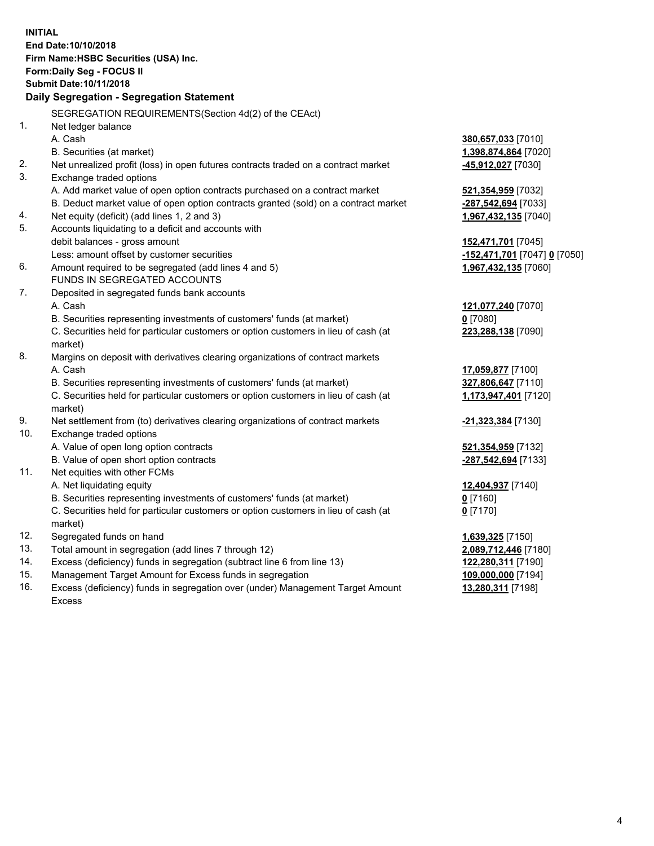**INITIAL End Date:10/10/2018 Firm Name:HSBC Securities (USA) Inc. Form:Daily Seg - FOCUS II Submit Date:10/11/2018 Daily Segregation - Segregation Statement** SEGREGATION REQUIREMENTS(Section 4d(2) of the CEAct) 1. Net ledger balance A. Cash **380,657,033** [7010] B. Securities (at market) **1,398,874,864** [7020] 2. Net unrealized profit (loss) in open futures contracts traded on a contract market **-45,912,027** [7030] 3. Exchange traded options A. Add market value of open option contracts purchased on a contract market **521,354,959** [7032] B. Deduct market value of open option contracts granted (sold) on a contract market **-287,542,694** [7033] 4. Net equity (deficit) (add lines 1, 2 and 3) **1,967,432,135** [7040] 5. Accounts liquidating to a deficit and accounts with debit balances - gross amount **152,471,701** [7045] Less: amount offset by customer securities **-152,471,701** [7047] **0** [7050] 6. Amount required to be segregated (add lines 4 and 5) **1,967,432,135** [7060] FUNDS IN SEGREGATED ACCOUNTS 7. Deposited in segregated funds bank accounts A. Cash **121,077,240** [7070] B. Securities representing investments of customers' funds (at market) **0** [7080] C. Securities held for particular customers or option customers in lieu of cash (at market) **223,288,138** [7090] 8. Margins on deposit with derivatives clearing organizations of contract markets A. Cash **17,059,877** [7100] B. Securities representing investments of customers' funds (at market) **327,806,647** [7110] C. Securities held for particular customers or option customers in lieu of cash (at market) **1,173,947,401** [7120] 9. Net settlement from (to) derivatives clearing organizations of contract markets **-21,323,384** [7130] 10. Exchange traded options A. Value of open long option contracts **521,354,959** [7132] B. Value of open short option contracts **-287,542,694** [7133] 11. Net equities with other FCMs A. Net liquidating equity **12,404,937** [7140] B. Securities representing investments of customers' funds (at market) **0** [7160] C. Securities held for particular customers or option customers in lieu of cash (at market) **0** [7170] 12. Segregated funds on hand **1,639,325** [7150] 13. Total amount in segregation (add lines 7 through 12) **2,089,712,446** [7180] 14. Excess (deficiency) funds in segregation (subtract line 6 from line 13) **122,280,311** [7190] 15. Management Target Amount for Excess funds in segregation **109,000,000** [7194] **13,280,311** [7198]

16. Excess (deficiency) funds in segregation over (under) Management Target Amount Excess